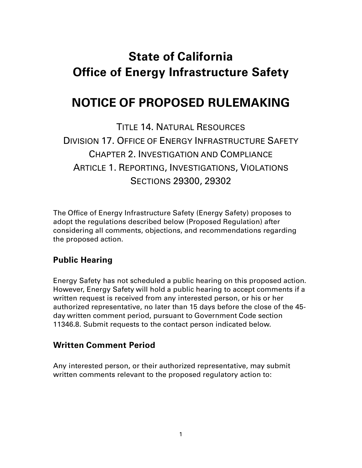# **State of California Office of Energy Infrastructure Safety**

# **NOTICE OF PROPOSED RULEMAKING**

TITLE 14. NATURAL RESOURCES DIVISION 17. OFFICE OF ENERGY INFRASTRUCTURE SAFETY CHAPTER 2. INVESTIGATION AND COMPLIANCE ARTICLE 1. REPORTING, INVESTIGATIONS, VIOLATIONS SECTIONS 29300, 29302

The Office of Energy Infrastructure Safety (Energy Safety) proposes to adopt the regulations described below (Proposed Regulation) after considering all comments, objections, and recommendations regarding the proposed action.

## **Public Hearing**

Energy Safety has not scheduled a public hearing on this proposed action. However, Energy Safety will hold a public hearing to accept comments if a written request is received from any interested person, or his or her authorized representative, no later than 15 days before the close of the 45 day written comment period, pursuant to Government Code section 11346.8. Submit requests to the contact person indicated below.

## **Written Comment Period**

Any interested person, or their authorized representative, may submit written comments relevant to the proposed regulatory action to: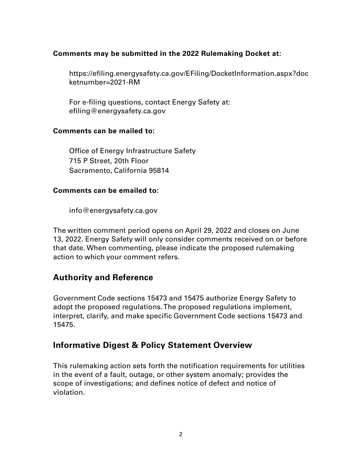#### **Comments may be submitted in the 2022 Rulemaking Docket at:**

https://efiling.energysafety.ca.gov/EFiling/DocketInformation.aspx?doc ketnumber=2021-RM

For e-filing questions, contact Energy Safety at: efiling@energysafety.ca.gov

#### **Comments can be mailed to:**

Office of Energy Infrastructure Safety 715 P Street, 20th Floor Sacramento, California 95814

#### **Comments can be emailed to:**

info@energysafety.ca.gov

The written comment period opens on April 29, 2022 and closes on June 13, 2022. Energy Safety will only consider comments received on or before that date. When commenting, please indicate the proposed rulemaking action to which your comment refers.

## **Authority and Reference**

Government Code sections 15473 and 15475 authorize Energy Safety to adopt the proposed regulations. The proposed regulations implement, interpret, clarify, and make specific Government Code sections 15473 and 15475.

## **Informative Digest & Policy Statement Overview**

This rulemaking action sets forth the notification requirements for utilities in the event of a fault, outage, or other system anomaly; provides the scope of investigations; and defines notice of defect and notice of violation.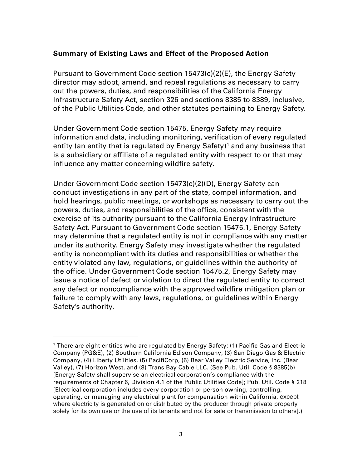#### **Summary of Existing Laws and Effect of the Proposed Action**

Pursuant to Government Code section 15473(c)(2)(E), the Energy Safety director may adopt, amend, and repeal regulations as necessary to carry out the powers, duties, and responsibilities of the California Energy Infrastructure Safety Act, section 326 and sections 8385 to 8389, inclusive, of the Public Utilities Code, and other statutes pertaining to Energy Safety.

Under Government Code section 15475, Energy Safety may require information and data, including monitoring, verification of every regulated entity (an entity that is regulated by Energy Safety)<sup>[1](#page-2-0)</sup> and any business that is a subsidiary or affiliate of a regulated entity with respect to or that may influence any matter concerning wildfire safety.

Under Government Code section 15473(c)(2)(D), Energy Safety can conduct investigations in any part of the state, compel information, and hold hearings, public meetings, or workshops as necessary to carry out the powers, duties, and responsibilities of the office, consistent with the exercise of its authority pursuant to the California Energy Infrastructure Safety Act. Pursuant to Government Code section 15475.1, Energy Safety may determine that a regulated entity is not in compliance with any matter under its authority. Energy Safety may investigate whether the regulated entity is noncompliant with its duties and responsibilities or whether the entity violated any law, regulations, or guidelines within the authority of the office. Under Government Code section 15475.2, Energy Safety may issue a notice of defect or violation to direct the regulated entity to correct any defect or noncompliance with the approved wildfire mitigation plan or failure to comply with any laws, regulations, or guidelines within Energy Safety's authority.

<span id="page-2-0"></span><sup>1</sup> There are eight entities who are regulated by Energy Safety: (1) Pacific Gas and Electric Company (PG&E), (2) Southern California Edison Company, (3) San Diego Gas & Electric Company, (4) Liberty Utilities, (5) PacifiCorp, (6) Bear Valley Electric Service, Inc. (Bear Valley), (7) Horizon West, and (8) Trans Bay Cable LLC. (See Pub. Util. Code § 8385(b) [Energy Safety shall supervise an electrical corporation's compliance with the requirements of Chapter 6, Division 4.1 of the Public Utilities Code]; Pub. Util. Code § 218 [Electrical corporation includes every corporation or person owning, controlling, operating, or managing any electrical plant for compensation within California, except where electricity is generated on or distributed by the producer through private property solely for its own use or the use of its tenants and not for sale or transmission to others].)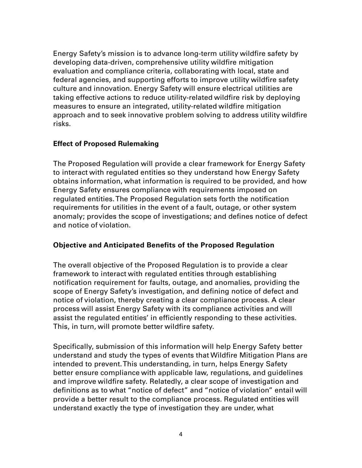Energy Safety's mission is to advance long-term utility wildfire safety by developing data-driven, comprehensive utility wildfire mitigation evaluation and compliance criteria, collaborating with local, state and federal agencies, and supporting efforts to improve utility wildfire safety culture and innovation. Energy Safety will ensure electrical utilities are taking effective actions to reduce utility-related wildfire risk by deploying measures to ensure an integrated, utility-related wildfire mitigation approach and to seek innovative problem solving to address utility wildfire risks.

#### **Effect of Proposed Rulemaking**

The Proposed Regulation will provide a clear framework for Energy Safety to interact with regulated entities so they understand how Energy Safety obtains information, what information is required to be provided, and how Energy Safety ensures compliance with requirements imposed on regulated entities.The Proposed Regulation sets forth the notification requirements for utilities in the event of a fault, outage, or other system anomaly; provides the scope of investigations; and defines notice of defect and notice of violation.

#### **Objective and Anticipated Benefits of the Proposed Regulation**

The overall objective of the Proposed Regulation is to provide a clear framework to interact with regulated entities through establishing notification requirement for faults, outage, and anomalies, providing the scope of Energy Safety's investigation, and defining notice of defect and notice of violation, thereby creating a clear compliance process. A clear process will assist Energy Safety with its compliance activities and will assist the regulated entities' in efficiently responding to these activities. This, in turn, will promote better wildfire safety.

Specifically, submission of this information will help Energy Safety better understand and study the types of events that Wildfire Mitigation Plans are intended to prevent. This understanding, in turn, helps Energy Safety better ensure compliance with applicable law, regulations, and guidelines and improve wildfire safety. Relatedly, a clear scope of investigation and definitions as to what "notice of defect" and "notice of violation" entail will provide a better result to the compliance process. Regulated entities will understand exactly the type of investigation they are under, what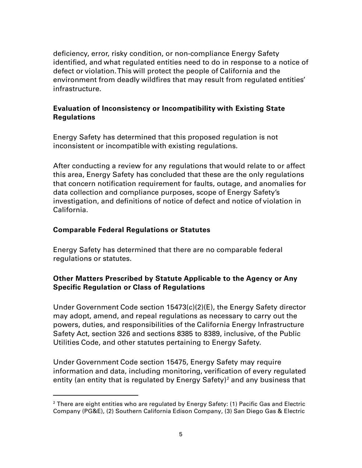deficiency, error, risky condition, or non-compliance Energy Safety identified, and what regulated entities need to do in response to a notice of defect or violation. This will protect the people of California and the environment from deadly wildfires that may result from regulated entities' infrastructure.

#### **Evaluation of Inconsistency or Incompatibility with Existing State Regulations**

Energy Safety has determined that this proposed regulation is not inconsistent or incompatible with existing regulations.

After conducting a review for any regulations that would relate to or affect this area, Energy Safety has concluded that these are the only regulations that concern notification requirement for faults, outage, and anomalies for data collection and compliance purposes, scope of Energy Safety's investigation, and definitions of notice of defect and notice of violation in California.

#### **Comparable Federal Regulations or Statutes**

Energy Safety has determined that there are no comparable federal regulations or statutes.

## **Other Matters Prescribed by Statute Applicable to the Agency or Any Specific Regulation or Class of Regulations**

Under Government Code section 15473(c)(2)(E), the Energy Safety director may adopt, amend, and repeal regulations as necessary to carry out the powers, duties, and responsibilities of the California Energy Infrastructure Safety Act, section 326 and sections 8385 to 8389, inclusive, of the Public Utilities Code, and other statutes pertaining to Energy Safety.

Under Government Code section 15475, Energy Safety may require information and data, including monitoring, verification of every regulated entity (an entity that is regulated by Energy Safety)<sup>[2](#page-4-0)</sup> and any business that

<span id="page-4-0"></span><sup>&</sup>lt;sup>2</sup> There are eight entities who are regulated by Energy Safety: (1) Pacific Gas and Electric Company (PG&E), (2) Southern California Edison Company, (3) San Diego Gas & Electric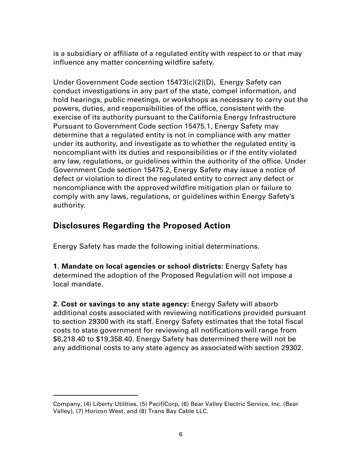is a subsidiary or affiliate of a regulated entity with respect to or that may influence any matter concerning wildfire safety.

Under Government Code section 15473(c)(2)(D), Energy Safety can conduct investigations in any part of the state, compel information, and hold hearings, public meetings, or workshops as necessary to carry out the powers, duties, and responsibilities of the office, consistent with the exercise of its authority pursuant to the California Energy Infrastructure Pursuant to Government Code section 15475.1, Energy Safety may determine that a regulated entity is not in compliance with any matter under its authority, and investigate as to whether the regulated entity is noncompliant with its duties and responsibilities or if the entity violated any law, regulations, or guidelines within the authority of the office. Under Government Code section 15475.2, Energy Safety may issue a notice of defect or violation to direct the regulated entity to correct any defect or noncompliance with the approved wildfire mitigation plan or failure to comply with any laws, regulations, or guidelines within Energy Safety's authority.

# **Disclosures Regarding the Proposed Action**

Energy Safety has made the following initial determinations.

**1. Mandate on local agencies or school districts:** Energy Safety has determined the adoption of the Proposed Regulation will not impose a local mandate.

**2. Cost or savings to any state agency:** Energy Safety will absorb additional costs associated with reviewing notifications provided pursuant to section 29300 with its staff. Energy Safety estimates that the total fiscal costs to state government for reviewing all notifications will range from \$6,218.40 to \$19,358.40. Energy Safety has determined there will not be any additional costs to any state agency as associated with section 29302.

Company, (4) Liberty Utilities, (5) PacifiCorp, (6) Bear Valley Electric Service, Inc. (Bear Valley), (7) Horizon West, and (8) Trans Bay Cable LLC.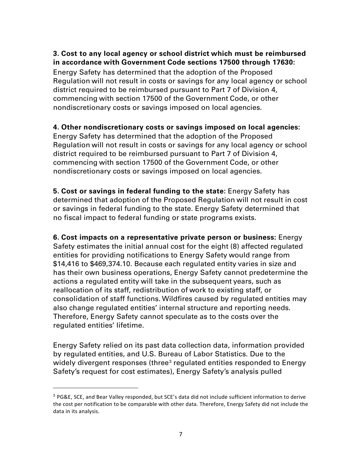#### **3. Cost to any local agency or school district which must be reimbursed in accordance with Government Code sections 17500 through 17630:**

Energy Safety has determined that the adoption of the Proposed Regulation will not result in costs or savings for any local agency or school district required to be reimbursed pursuant to Part 7 of Division 4, commencing with section 17500 of the Government Code, or other nondiscretionary costs or savings imposed on local agencies.

#### **4. Other nondiscretionary costs or savings imposed on local agencies:**

Energy Safety has determined that the adoption of the Proposed Regulation will not result in costs or savings for any local agency or school district required to be reimbursed pursuant to Part 7 of Division 4, commencing with section 17500 of the Government Code, or other nondiscretionary costs or savings imposed on local agencies.

**5. Cost or savings in federal funding to the state:** Energy Safety has determined that adoption of the Proposed Regulation will not result in cost or savings in federal funding to the state. Energy Safety determined that no fiscal impact to federal funding or state programs exists.

**6. Cost impacts on a representative private person or business:** Energy Safety estimates the initial annual cost for the eight (8) affected regulated entities for providing notifications to Energy Safety would range from \$14,416 to \$469,374.10. Because each regulated entity varies in size and has their own business operations, Energy Safety cannot predetermine the actions a regulated entity will take in the subsequent years, such as reallocation of its staff, redistribution of work to existing staff, or consolidation of staff functions. Wildfires caused by regulated entities may also change regulated entities' internal structure and reporting needs. Therefore, Energy Safety cannot speculate as to the costs over the regulated entities' lifetime.

Energy Safety relied on its past data collection data, information provided by regulated entities, and U.S. Bureau of Labor Statistics. Due to the widely divergent responses (three<sup>[3](#page-6-0)</sup> regulated entities responded to Energy Safety's request for cost estimates), Energy Safety's analysis pulled

<span id="page-6-0"></span><sup>&</sup>lt;sup>3</sup> PG&E, SCE, and Bear Valley responded, but SCE's data did not include sufficient information to derive the cost per notification to be comparable with other data. Therefore, Energy Safety did not include the data in its analysis.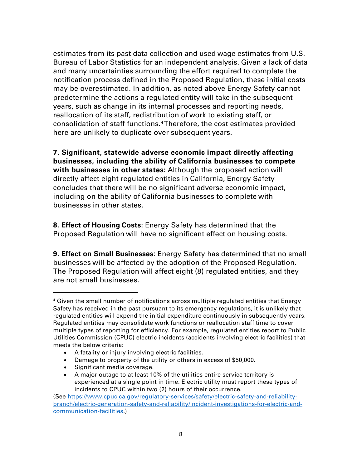estimates from its past data collection and used wage estimates from U.S. Bureau of Labor Statistics for an independent analysis. Given a lack of data and many uncertainties surrounding the effort required to complete the notification process defined in the Proposed Regulation, these initial costs may be overestimated. In addition, as noted above Energy Safety cannot predetermine the actions a regulated entity will take in the subsequent years, such as change in its internal processes and reporting needs, reallocation of its staff, redistribution of work to existing staff, or consolidation of staff functions.[4](#page-7-0)Therefore, the cost estimates provided here are unlikely to duplicate over subsequent years.

**7. Significant, statewide adverse economic impact directly affecting businesses, including the ability of California businesses to compete with businesses in other states:** Although the proposed action will directly affect eight regulated entities in California, Energy Safety concludes that there will be no significant adverse economic impact, including on the ability of California businesses to complete with businesses in other states.

**8. Effect of Housing Costs**: Energy Safety has determined that the Proposed Regulation will have no significant effect on housing costs.

**9. Effect on Small Businesses**: Energy Safety has determined that no small businesses will be affected by the adoption of the Proposed Regulation. The Proposed Regulation will affect eight (8) regulated entities, and they are not small businesses.

- A fatality or injury involving electric facilities.
- Damage to property of the utility or others in excess of \$50,000.
- Significant media coverage.
- A major outage to at least 10% of the utilities entire service territory is experienced at a single point in time. Electric utility must report these types of incidents to CPUC within two (2) hours of their occurrence.

<span id="page-7-0"></span> $4$  Given the small number of notifications across multiple regulated entities that Energy Safety has received in the past pursuant to its emergency regulations, it is unlikely that regulated entities will expend the initial expenditure continuously in subsequently years. Regulated entities may consolidate work functions or reallocation staff time to cover multiple types of reporting for efficiency. For example, regulated entities report to Public Utilities Commission (CPUC) electric incidents (accidents involving electric facilities) that meets the below criteria:

<sup>(</sup>See [https://www.cpuc.ca.gov/regulatory-services/safety/electric-safety-and-reliability](https://www.cpuc.ca.gov/regulatory-services/safety/electric-safety-and-reliability-branch/electric-generation-safety-and-reliability/incident-investigations-for-electric-and-communication-facilities)[branch/electric-generation-safety-and-reliability/incident-investigations-for-electric-and](https://www.cpuc.ca.gov/regulatory-services/safety/electric-safety-and-reliability-branch/electric-generation-safety-and-reliability/incident-investigations-for-electric-and-communication-facilities)[communication-facilities.](https://www.cpuc.ca.gov/regulatory-services/safety/electric-safety-and-reliability-branch/electric-generation-safety-and-reliability/incident-investigations-for-electric-and-communication-facilities))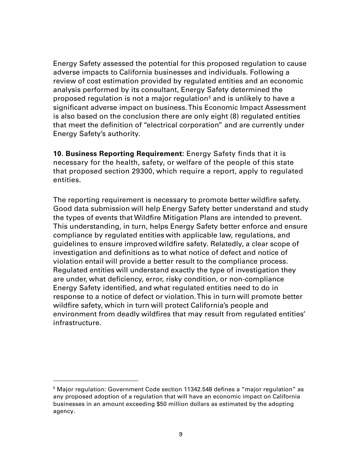Energy Safety assessed the potential for this proposed regulation to cause adverse impacts to California businesses and individuals. Following a review of cost estimation provided by regulated entities and an economic analysis performed by its consultant, Energy Safety determined the proposed regulation is not a major regulation<sup>[5](#page-8-0)</sup> and is unlikely to have a significant adverse impact on business. This Economic Impact Assessment is also based on the conclusion there are only eight (8) regulated entities that meet the definition of "electrical corporation" and are currently under Energy Safety's authority.

**10. Business Reporting Requirement:** Energy Safety finds that it is necessary for the health, safety, or welfare of the people of this state that proposed section 29300, which require a report, apply to regulated entities.

The reporting requirement is necessary to promote better wildfire safety. Good data submission will help Energy Safety better understand and study the types of events that Wildfire Mitigation Plans are intended to prevent. This understanding, in turn, helps Energy Safety better enforce and ensure compliance by regulated entities with applicable law, regulations, and guidelines to ensure improved wildfire safety. Relatedly, a clear scope of investigation and definitions as to what notice of defect and notice of violation entail will provide a better result to the compliance process. Regulated entities will understand exactly the type of investigation they are under, what deficiency, error, risky condition, or non-compliance Energy Safety identified, and what regulated entities need to do in response to a notice of defect or violation. This in turn will promote better wildfire safety, which in turn will protect California's people and environment from deadly wildfires that may result from regulated entities' infrastructure.

<span id="page-8-0"></span> $5$  Major regulation: Government Code section 11342.548 defines a "major regulation" as any proposed adoption of a regulation that will have an economic impact on California businesses in an amount exceeding \$50 million dollars as estimated by the adopting agency.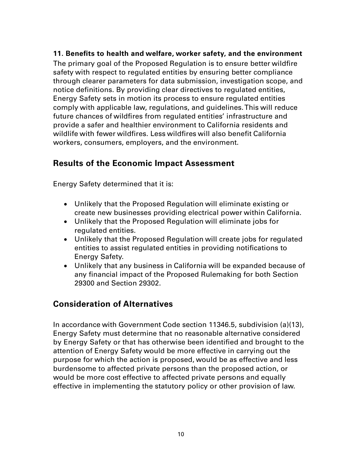#### **11. Benefits to health and welfare, worker safety, and the environment**

The primary goal of the Proposed Regulation is to ensure better wildfire safety with respect to regulated entities by ensuring better compliance through clearer parameters for data submission, investigation scope, and notice definitions. By providing clear directives to regulated entities, Energy Safety sets in motion its process to ensure regulated entities comply with applicable law, regulations, and guidelines. This will reduce future chances of wildfires from regulated entities' infrastructure and provide a safer and healthier environment to California residents and wildlife with fewer wildfires. Less wildfires will also benefit California workers, consumers, employers, and the environment.

## **Results of the Economic Impact Assessment**

Energy Safety determined that it is:

- Unlikely that the Proposed Regulation will eliminate existing or create new businesses providing electrical power within California.
- Unlikely that the Proposed Regulation will eliminate jobs for regulated entities.
- Unlikely that the Proposed Regulation will create jobs for regulated entities to assist regulated entities in providing notifications to Energy Safety.
- Unlikely that any business in California will be expanded because of any financial impact of the Proposed Rulemaking for both Section 29300 and Section 29302.

## **Consideration of Alternatives**

In accordance with Government Code section 11346.5, subdivision (a)(13), Energy Safety must determine that no reasonable alternative considered by Energy Safety or that has otherwise been identified and brought to the attention of Energy Safety would be more effective in carrying out the purpose for which the action is proposed, would be as effective and less burdensome to affected private persons than the proposed action, or would be more cost effective to affected private persons and equally effective in implementing the statutory policy or other provision of law.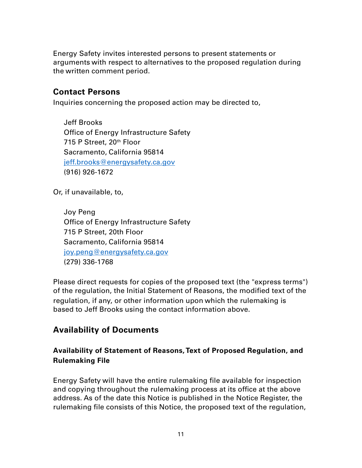Energy Safety invites interested persons to present statements or arguments with respect to alternatives to the proposed regulation during the written comment period.

## **Contact Persons**

Inquiries concerning the proposed action may be directed to,

Jeff Brooks Office of Energy Infrastructure Safety 715 P Street, 20th Floor Sacramento, California 95814 [jeff.brooks@energysafety.ca.gov](mailto:jeff.brooks@energysafety.ca.gov)  (916) 926-1672

Or, if unavailable, to,

Joy Peng Office of Energy Infrastructure Safety 715 P Street, 20th Floor Sacramento, California 95814 [joy.peng@energysafety.ca.gov](mailto:joy.peng@energysafety.ca.gov) (279) 336-1768

Please direct requests for copies of the proposed text (the "express terms") of the regulation, the Initial Statement of Reasons, the modified text of the regulation, if any, or other information upon which the rulemaking is based to Jeff Brooks using the contact information above.

## **Availability of Documents**

## **Availability of Statement of Reasons, Text of Proposed Regulation, and Rulemaking File**

Energy Safety will have the entire rulemaking file available for inspection and copying throughout the rulemaking process at its office at the above address. As of the date this Notice is published in the Notice Register, the rulemaking file consists of this Notice, the proposed text of the regulation,